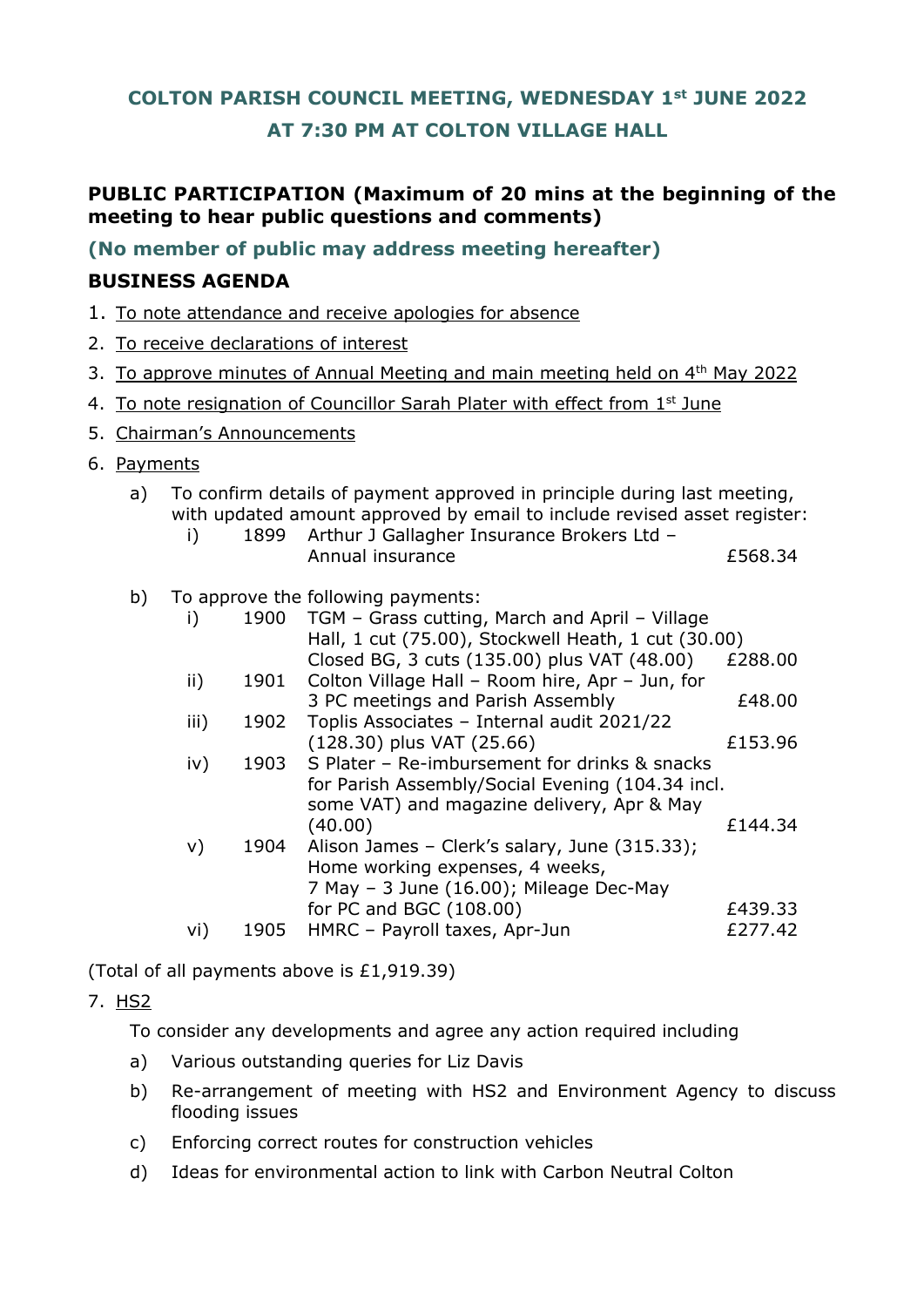# **COLTON PARISH COUNCIL MEETING, WEDNESDAY 1st JUNE 2022 AT 7:30 PM AT COLTON VILLAGE HALL**

# **PUBLIC PARTICIPATION (Maximum of 20 mins at the beginning of the meeting to hear public questions and comments)**

**(No member of public may address meeting hereafter)**

# **BUSINESS AGENDA**

- 1. To note attendance and receive apologies for absence
- 2. To receive declarations of interest
- 3. To approve minutes of Annual Meeting and main meeting held on 4<sup>th</sup> May 2022
- 4. To note resignation of Councillor Sarah Plater with effect from 1st June
- 5. Chairman's Announcements
- 6. Payments

#### a) To confirm details of payment approved in principle during last meeting, with updated amount approved by email to include revised asset register:

- i) 1899 Arthur J Gallagher Insurance Brokers Ltd Annual insurance  $\overline{f}$  568.34
- b) To approve the following payments:

| i)              | 1900 | TGM - Grass cutting, March and April - Village      |         |
|-----------------|------|-----------------------------------------------------|---------|
|                 |      | Hall, 1 cut (75.00), Stockwell Heath, 1 cut (30.00) |         |
|                 |      | Closed BG, 3 cuts (135.00) plus VAT (48.00)         | £288.00 |
| $\mathsf{ii}$ ) | 1901 | Colton Village Hall - Room hire, Apr - Jun, for     |         |
|                 |      | 3 PC meetings and Parish Assembly                   | £48.00  |
| iii)            | 1902 | Toplis Associates - Internal audit 2021/22          |         |
|                 |      | $(128.30)$ plus VAT $(25.66)$                       | £153.96 |
| iv)             | 1903 | S Plater – Re-imbursement for drinks & snacks       |         |
|                 |      | for Parish Assembly/Social Evening (104.34 incl.    |         |
|                 |      | some VAT) and magazine delivery, Apr & May          |         |
|                 |      | (40.00)                                             | £144.34 |
| $\vee$          | 1904 | Alison James - Clerk's salary, June (315.33);       |         |
|                 |      | Home working expenses, 4 weeks,                     |         |
|                 |      | 7 May - 3 June (16.00); Mileage Dec-May             |         |
|                 |      | for PC and BGC (108.00)                             | £439.33 |
| vi)             | 1905 | HMRC - Payroll taxes, Apr-Jun                       | £277.42 |

(Total of all payments above is £1,919.39)

# 7. HS2

To consider any developments and agree any action required including

- a) Various outstanding queries for Liz Davis
- b) Re-arrangement of meeting with HS2 and Environment Agency to discuss flooding issues
- c) Enforcing correct routes for construction vehicles
- d) Ideas for environmental action to link with Carbon Neutral Colton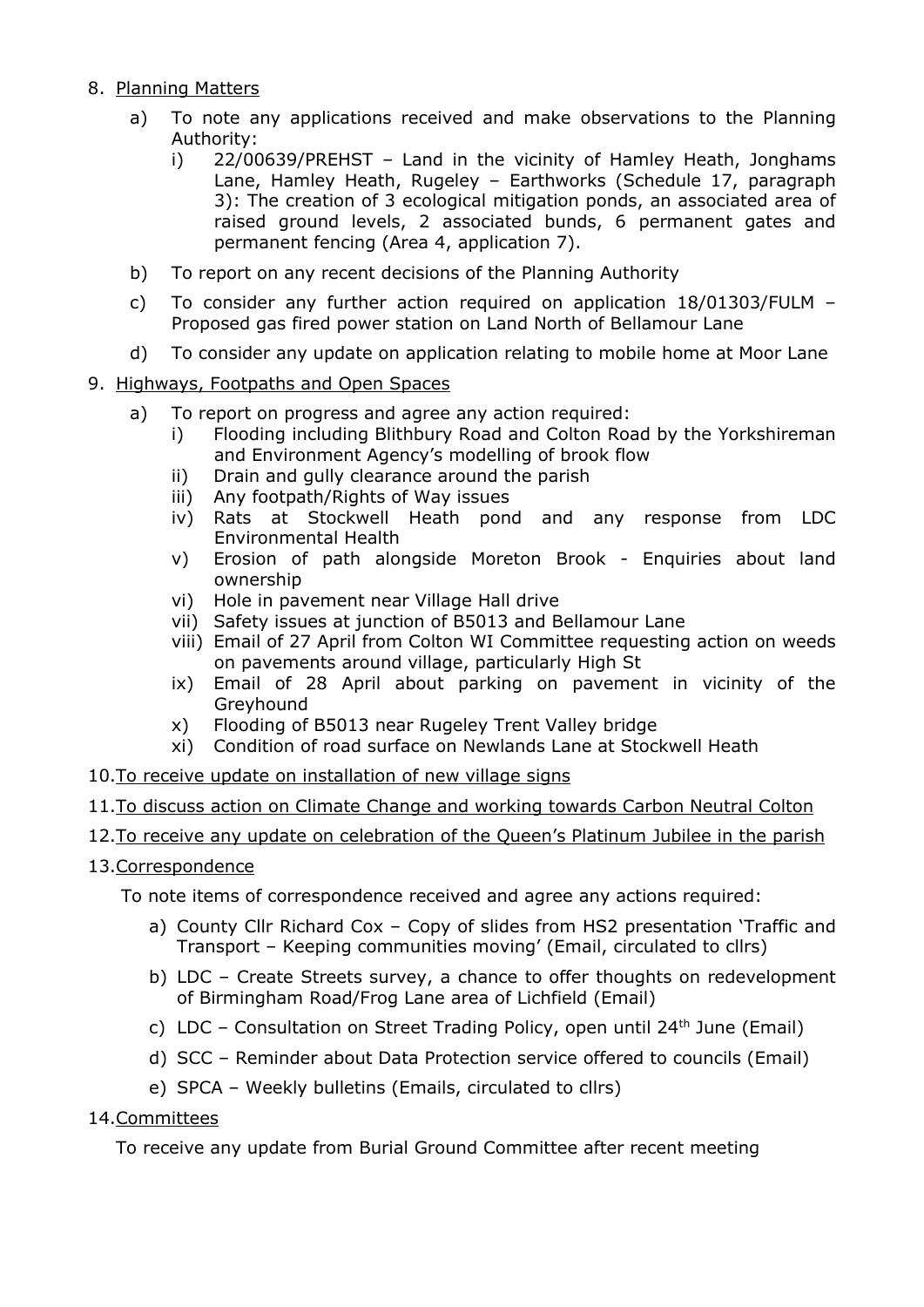#### 8. Planning Matters

- a) To note any applications received and make observations to the Planning Authority:
	- i) 22/00639/PREHST Land in the vicinity of Hamley Heath, Jonghams Lane, Hamley Heath, Rugeley – Earthworks (Schedule 17, paragraph 3): The creation of 3 ecological mitigation ponds, an associated area of raised ground levels, 2 associated bunds, 6 permanent gates and permanent fencing (Area 4, application 7).
- b) To report on any recent decisions of the Planning Authority
- c) To consider any further action required on application 18/01303/FULM Proposed gas fired power station on Land North of Bellamour Lane
- d) To consider any update on application relating to mobile home at Moor Lane

# 9. Highways, Footpaths and Open Spaces

- a) To report on progress and agree any action required:
	- i) Flooding including Blithbury Road and Colton Road by the Yorkshireman and Environment Agency's modelling of brook flow
	- ii) Drain and gully clearance around the parish
	- iii) Any footpath/Rights of Way issues
	- iv) Rats at Stockwell Heath pond and any response from LDC Environmental Health
	- v) Erosion of path alongside Moreton Brook Enquiries about land ownership
	- vi) Hole in pavement near Village Hall drive
	- vii) Safety issues at junction of B5013 and Bellamour Lane
	- viii) Email of 27 April from Colton WI Committee requesting action on weeds on pavements around village, particularly High St
	- ix) Email of 28 April about parking on pavement in vicinity of the Greyhound
	- x) Flooding of B5013 near Rugeley Trent Valley bridge
	- xi) Condition of road surface on Newlands Lane at Stockwell Heath
- 10.To receive update on installation of new village signs

# 11.To discuss action on Climate Change and working towards Carbon Neutral Colton

# 12. To receive any update on celebration of the Queen's Platinum Jubilee in the parish

# 13.Correspondence

To note items of correspondence received and agree any actions required:

- a) County Cllr Richard Cox Copy of slides from HS2 presentation 'Traffic and Transport – Keeping communities moving' (Email, circulated to cllrs)
- b) LDC Create Streets survey, a chance to offer thoughts on redevelopment of Birmingham Road/Frog Lane area of Lichfield (Email)
- c) LDC Consultation on Street Trading Policy, open until  $24<sup>th</sup>$  June (Email)
- d) SCC Reminder about Data Protection service offered to councils (Email)
- e) SPCA Weekly bulletins (Emails, circulated to cllrs)

# 14.Committees

To receive any update from Burial Ground Committee after recent meeting